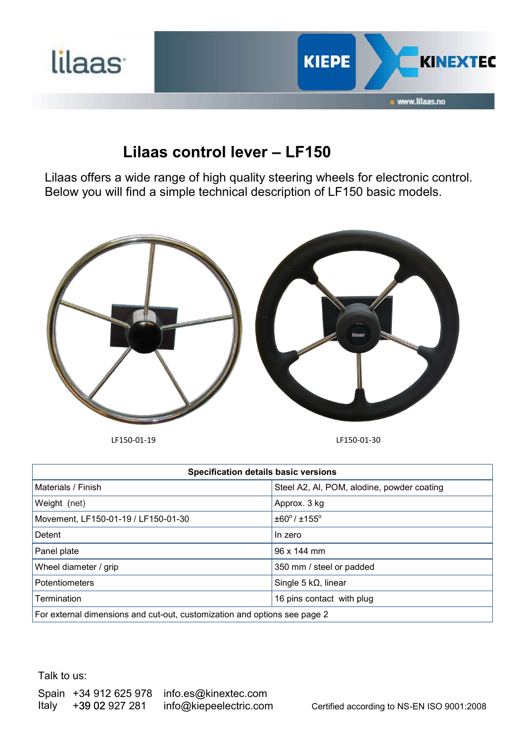

## **Lilaas control lever – LF150**

Lilaas offers a wide range of high quality steering wheels for electronic control. Below you will find a simple technical description of LF150 basic models.



LF150-01-19 LF150-01-30

| <b>Specification details basic versions</b>                               |                                            |  |
|---------------------------------------------------------------------------|--------------------------------------------|--|
| Materials / Finish                                                        | Steel A2, Al, POM, alodine, powder coating |  |
| Weight (net)                                                              | Approx. 3 kg                               |  |
| Movement, LF150-01-19 / LF150-01-30                                       | $\pm 60^{\circ}$ / $\pm 155^{\circ}$       |  |
| Detent                                                                    | In zero                                    |  |
| Panel plate                                                               | 96 x 144 mm                                |  |
| Wheel diameter / grip                                                     | 350 mm / steel or padded                   |  |
| <b>Potentiometers</b>                                                     | Single 5 $k\Omega$ , linear                |  |
| Termination                                                               | 16 pins contact with plug                  |  |
| For external dimensions and cut-out, customization and options see page 2 |                                            |  |

Talk to us: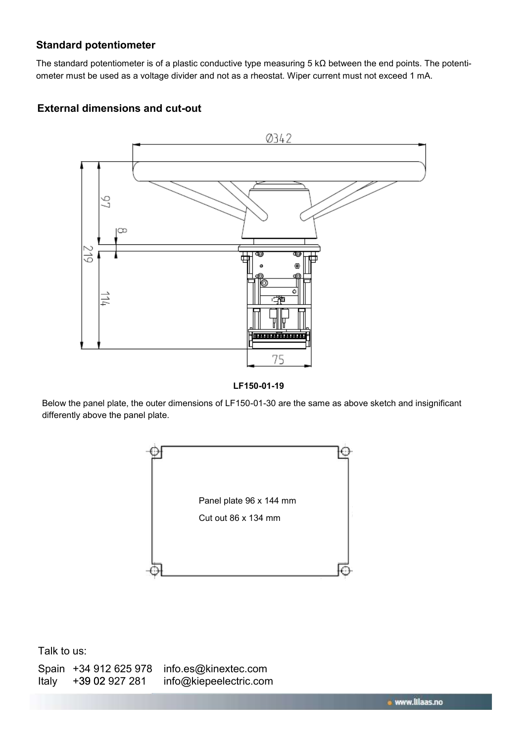## **Standard potentiometer**

The standard potentiometer is of a plastic conductive type measuring 5 kΩ between the end points. The potentiometer must be used as a voltage divider and not as a rheostat. Wiper current must not exceed 1 mA.

## **External dimensions and cut-out**





Below the panel plate, the outer dimensions of LF150-01-30 are the same as above sketch and insignificant differently above the panel plate.



Talk to us:

|       | Spain +34 912 625 978 | info.es@kinextec.com   |
|-------|-----------------------|------------------------|
| Italy | +39 02 927 281        | info@kiepeelectric.com |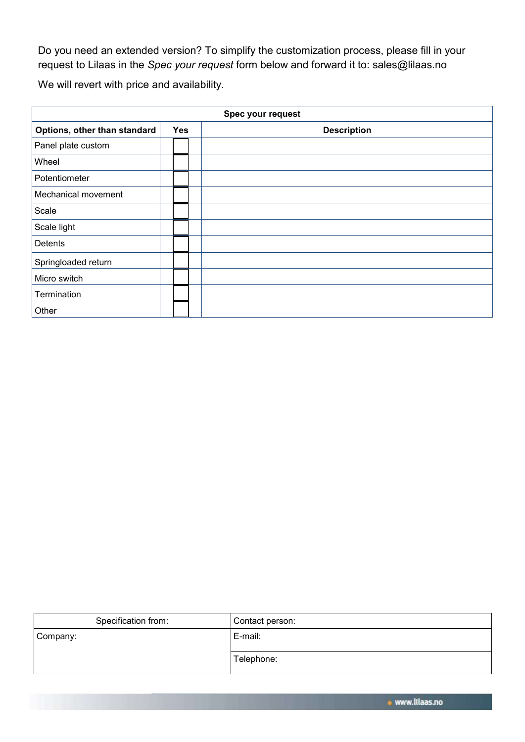Do you need an extended version? To simplify the customization process, please fill in your request to Lilaas in the *Spec your request* form below and forward it to: sales@lilaas.no

We will revert with price and availability.

| Spec your request            |            |                    |  |  |
|------------------------------|------------|--------------------|--|--|
| Options, other than standard | <b>Yes</b> | <b>Description</b> |  |  |
| Panel plate custom           |            |                    |  |  |
| Wheel                        |            |                    |  |  |
| Potentiometer                |            |                    |  |  |
| Mechanical movement          |            |                    |  |  |
| Scale                        |            |                    |  |  |
| Scale light                  |            |                    |  |  |
| Detents                      |            |                    |  |  |
| Springloaded return          |            |                    |  |  |
| Micro switch                 |            |                    |  |  |
| <b>Termination</b>           |            |                    |  |  |
| Other                        |            |                    |  |  |

| Specification from: | Contact person: |
|---------------------|-----------------|
| Company:            | E-mail:         |
|                     | Telephone:      |